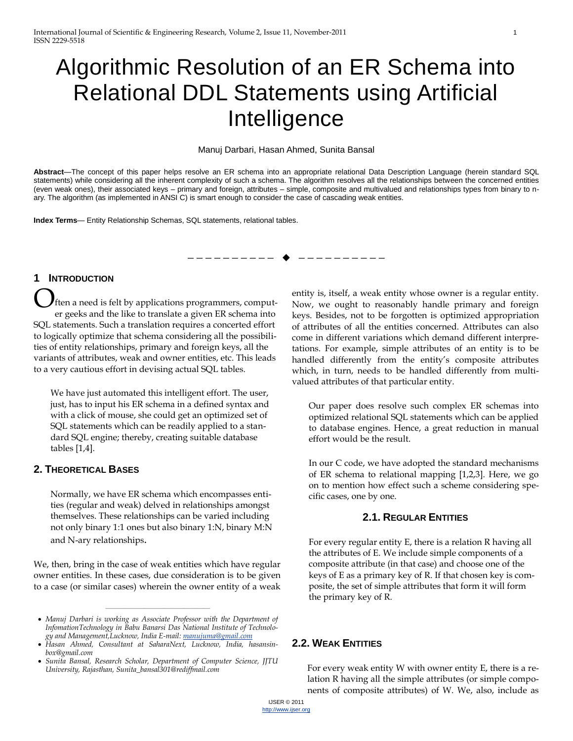# Algorithmic Resolution of an ER Schema into Relational DDL Statements using Artificial Intelligence

Manuj Darbari, Hasan Ahmed, Sunita Bansal

**Abstract**—The concept of this paper helps resolve an ER schema into an appropriate relational Data Description Language (herein standard SQL statements) while considering all the inherent complexity of such a schema. The algorithm resolves all the relationships between the concerned entities (even weak ones), their associated keys – primary and foreign, attributes – simple, composite and multivalued and relationships types from binary to nary. The algorithm (as implemented in ANSI C) is smart enough to consider the case of cascading weak entities.

**Index Terms**— Entity Relationship Schemas, SQL statements, relational tables.

#### —————————— ——————————

# **1 INTRODUCTION**

ften a need is felt by applications programmers, computer geeks and the like to translate a given ER schema into SQL statements. Such a translation requires a concerted effort to logically optimize that schema considering all the possibilities of entity relationships, primary and foreign keys, all the variants of attributes, weak and owner entities, etc. This leads to a very cautious effort in devising actual SQL tables. O

We have just automated this intelligent effort. The user, just, has to input his ER schema in a defined syntax and with a click of mouse, she could get an optimized set of SQL statements which can be readily applied to a standard SQL engine; thereby, creating suitable database tables [1,4].

#### **2. THEORETICAL BASES**

Normally, we have ER schema which encompasses entities (regular and weak) delved in relationships amongst themselves. These relationships can be varied including not only binary 1:1 ones but also binary 1:N, binary M:N and N-ary relationships.

We, then, bring in the case of weak entities which have regular owner entities. In these cases, due consideration is to be given to a case (or similar cases) wherein the owner entity of a weak

————————————————

entity is, itself, a weak entity whose owner is a regular entity. Now, we ought to reasonably handle primary and foreign keys. Besides, not to be forgotten is optimized appropriation of attributes of all the entities concerned. Attributes can also come in different variations which demand different interpretations. For example, simple attributes of an entity is to be handled differently from the entity's composite attributes which, in turn, needs to be handled differently from multivalued attributes of that particular entity.

Our paper does resolve such complex ER schemas into optimized relational SQL statements which can be applied to database engines. Hence, a great reduction in manual effort would be the result.

In our C code, we have adopted the standard mechanisms of ER schema to relational mapping [1,2,3]. Here, we go on to mention how effect such a scheme considering specific cases, one by one.

#### **2.1. REGULAR ENTITIES**

For every regular entity E, there is a relation R having all the attributes of E. We include simple components of a composite attribute (in that case) and choose one of the keys of E as a primary key of R. If that chosen key is composite, the set of simple attributes that form it will form the primary key of R.

# **2.2. WEAK ENTITIES**

For every weak entity W with owner entity E, there is a relation R having all the simple attributes (or simple components of composite attributes) of W. We, also, include as

*Manuj Darbari is working as Associate Professor with the Department of InfomationTechnology in Babu Banarsi Das National Institute of Technology and Management,Lucknow, India E-mail[: manujuma@gmail.com](mailto:manujuma@gmail.com)*

<sup>•</sup> Hasan Ahmed, Consultant at SaharaNext, Lucknow, India, [hasansin](mailto:hasansinbox@gmail.com)*[box@gmail.com](mailto:hasansinbox@gmail.com)*

*Sunita Bansal, Research Scholar, Department of Computer Science, JJTU University, Rajasthan, Sunita\_bansal301@rediffmail.com*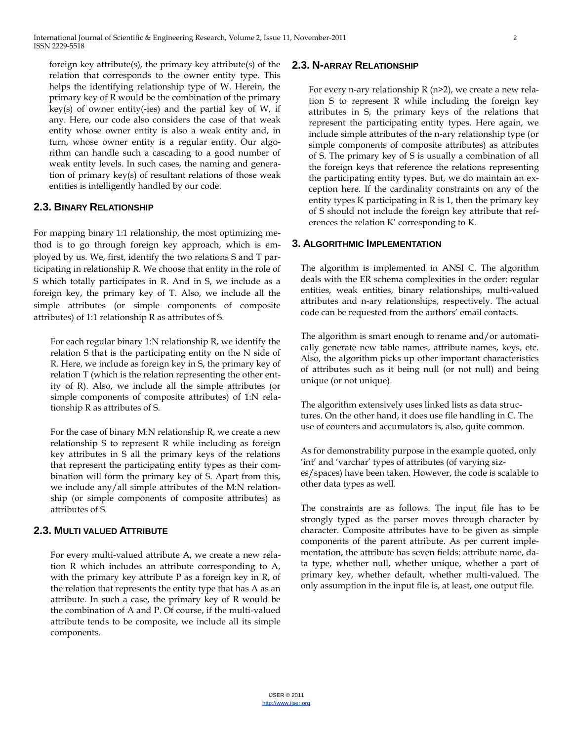foreign key attribute(s), the primary key attribute(s) of the relation that corresponds to the owner entity type. This helps the identifying relationship type of W. Herein, the primary key of R would be the combination of the primary key(s) of owner entity(-ies) and the partial key of W, if any. Here, our code also considers the case of that weak entity whose owner entity is also a weak entity and, in turn, whose owner entity is a regular entity. Our algorithm can handle such a cascading to a good number of weak entity levels. In such cases, the naming and generation of primary key(s) of resultant relations of those weak entities is intelligently handled by our code.

## **2.3. BINARY RELATIONSHIP**

For mapping binary 1:1 relationship, the most optimizing method is to go through foreign key approach, which is employed by us. We, first, identify the two relations S and T participating in relationship R. We choose that entity in the role of S which totally participates in R. And in S, we include as a foreign key, the primary key of T. Also, we include all the simple attributes (or simple components of composite attributes) of 1:1 relationship R as attributes of S.

For each regular binary 1:N relationship R, we identify the relation S that is the participating entity on the N side of R. Here, we include as foreign key in S, the primary key of relation T (which is the relation representing the other entity of R). Also, we include all the simple attributes (or simple components of composite attributes) of 1:N relationship R as attributes of S.

For the case of binary M:N relationship R, we create a new relationship S to represent R while including as foreign key attributes in S all the primary keys of the relations that represent the participating entity types as their combination will form the primary key of S. Apart from this, we include any/all simple attributes of the M:N relationship (or simple components of composite attributes) as attributes of S.

#### **2.3. MULTI VALUED ATTRIBUTE**

For every multi-valued attribute A, we create a new relation R which includes an attribute corresponding to A, with the primary key attribute P as a foreign key in R, of the relation that represents the entity type that has A as an attribute. In such a case, the primary key of R would be the combination of A and P. Of course, if the multi-valued attribute tends to be composite, we include all its simple components.

#### **2.3. N-ARRAY RELATIONSHIP**

For every n-ary relationship R (n>2), we create a new relation S to represent R while including the foreign key attributes in S, the primary keys of the relations that represent the participating entity types. Here again, we include simple attributes of the n-ary relationship type (or simple components of composite attributes) as attributes of S. The primary key of S is usually a combination of all the foreign keys that reference the relations representing the participating entity types. But, we do maintain an exception here. If the cardinality constraints on any of the entity types K participating in R is 1, then the primary key of S should not include the foreign key attribute that references the relation K' corresponding to K.

## **3. ALGORITHMIC IMPLEMENTATION**

The algorithm is implemented in ANSI C. The algorithm deals with the ER schema complexities in the order: regular entities, weak entities, binary relationships, multi-valued attributes and n-ary relationships, respectively. The actual code can be requested from the authors' email contacts.

The algorithm is smart enough to rename and/or automatically generate new table names, attribute names, keys, etc. Also, the algorithm picks up other important characteristics of attributes such as it being null (or not null) and being unique (or not unique).

The algorithm extensively uses linked lists as data structures. On the other hand, it does use file handling in C. The use of counters and accumulators is, also, quite common.

As for demonstrability purpose in the example quoted, only 'int' and 'varchar' types of attributes (of varying sizes/spaces) have been taken. However, the code is scalable to other data types as well.

The constraints are as follows. The input file has to be strongly typed as the parser moves through character by character. Composite attributes have to be given as simple components of the parent attribute. As per current implementation, the attribute has seven fields: attribute name, data type, whether null, whether unique, whether a part of primary key, whether default, whether multi-valued. The only assumption in the input file is, at least, one output file.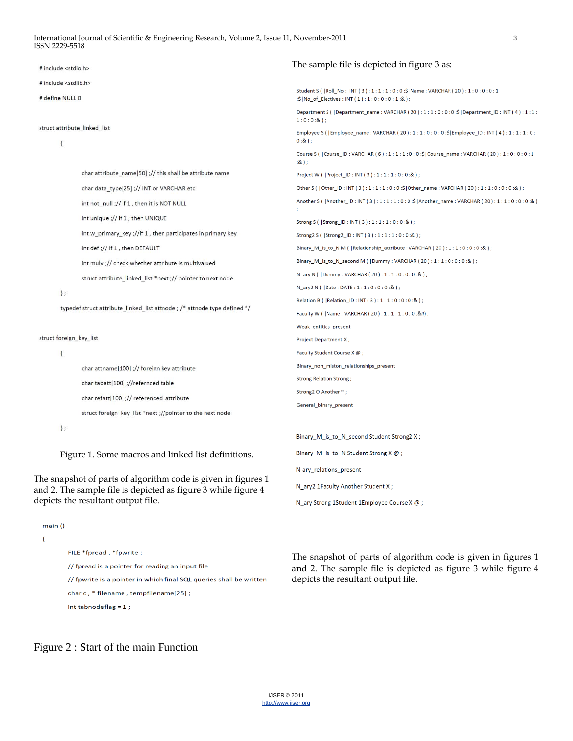| # include <stdio.h></stdio.h>                                                                                                  |                                                             | The sample file is depicted in figure 3 as:                                                                                                      |
|--------------------------------------------------------------------------------------------------------------------------------|-------------------------------------------------------------|--------------------------------------------------------------------------------------------------------------------------------------------------|
| # include <stdlib.h></stdlib.h>                                                                                                |                                                             |                                                                                                                                                  |
| # define NULL 0                                                                                                                |                                                             | Student S (   Roll_No : INT ( 3 ) : 1 : 1 : 1 : 0 : 0 :\$ Name : VARCHAR ( 20 ) : 1 : 0 : 0 : 0 : 1<br>:\$ No_of_Electives: INT(1):1:0:0:0:1:&); |
|                                                                                                                                |                                                             | Department S (   Department_name : VARCHAR (20) : 1 : 1 : 0 : 0 : 0 :\$   Department_ID : INT ( 4 ) : 1 : 1 :<br>$1:0:0:8$ .);                   |
| struct attribute_linked_list<br>$\{$                                                                                           |                                                             | Employee S (   Employee_name : VARCHAR (20) : $1:1:0:0:0:5$   Employee_ID : INT (4) : $1:1:1:0:$<br>$0:8.$ ) ;                                   |
|                                                                                                                                |                                                             | Course S (   Course_ID : VARCHAR ( 6 ) : 1 : 1 : 1 : 0 : 0 :\$   Course_name : VARCHAR ( 20 ) : 1 : 0 : 0 : 0 : 1<br>$:8)$ ;                     |
|                                                                                                                                | char attribute_name[50] ;// this shall be attribute name    | Project W (   Project_ID : INT ( 3 ) : 1 : 1 : 1 : 0 : 0 :& ) ;                                                                                  |
|                                                                                                                                | char data_type[25] ;// INT or VARCHAR etc                   | Other S ( Other_ID: INT (3): 1:1:1:0:0:\$ Other_name: VARCHAR (20): 1:1:0:0:0:8);                                                                |
|                                                                                                                                | int not_null ;// if 1, then it is NOT NULL                  | (&: 0 : 0 : 0 : 1 : 1 : 0 : 4 ) Another_ID : INT ( 3 ) : 1 : 1 : 1 : 0 : 0 : \$  Another_name : VARCHAR ( 20 ) : 1 : 1 : 0 : 0 : 8               |
|                                                                                                                                | int unique ;// if 1, then UNIQUE                            | Strong S (   Strong_ID : INT ( 3 ) : 1 : 1 : 1 : 0 : 0 : & ) ;                                                                                   |
|                                                                                                                                | int w_primary_key ;//if 1, then participates in primary key | Strong2 S (   Strong2_ID : INT ( 3 ) : 1 : 1 : 1 : 0 : 0 : & ) ;                                                                                 |
|                                                                                                                                | int def ;// if 1, then DEFAULT                              | Binary_M_is_to_N M (   Relationship_attribute : VARCHAR (20) : 1 : 1 : 0 : 0 : 0 : & ) ;                                                         |
|                                                                                                                                | int mulv ;// check whether attribute is multivalued         | Binary_M_is_to_N_second M (   Dummy : VARCHAR (20) : 1 : 1 : 0 : 0 : 0 : & ) ;                                                                   |
|                                                                                                                                | struct attribute_linked_list *next ;// pointer to next node | N_ary N (   Dummy : VARCHAR ( 20 ) : 1 : 1 : 0 : 0 : 0 : & ) ;                                                                                   |
| $\}$ ;                                                                                                                         |                                                             | N_ary2 N (   Date : DATE : 1 : 1 : 0 : 0 : 0 : 8 ) ;                                                                                             |
| typedef struct attribute_linked_list attnode ; /* attnode type defined */                                                      |                                                             | Relation B (   Relation_ID : INT (3) : 1 : 1 : 0 : 0 : 0 : 8 ) ;                                                                                 |
|                                                                                                                                |                                                             | Faculty W (   Name : VARCHAR (20) : 1 : 1 : 1 : 0 : 0 : &#) ;                                                                                    |
|                                                                                                                                |                                                             | Weak_entities_present                                                                                                                            |
| struct foreign_key_list                                                                                                        |                                                             | Project Department X;                                                                                                                            |
| $\{$                                                                                                                           |                                                             | Faculty Student Course X @;                                                                                                                      |
|                                                                                                                                | char attname[100] ;// foreign key attribute                 | Binary_non_miston_relationships_present                                                                                                          |
|                                                                                                                                | char tabatt[100] ;//refernced table                         | Strong Relation Strong;                                                                                                                          |
|                                                                                                                                | char refatt[100] ;// referenced attribute                   | Strong2 O Another ~;                                                                                                                             |
|                                                                                                                                | struct foreign_key_list *next ;//pointer to the next node   | General_binary_present                                                                                                                           |
| $\}$ ;                                                                                                                         |                                                             |                                                                                                                                                  |
|                                                                                                                                |                                                             | Binary_M_is_to_N_second Student Strong2 X;                                                                                                       |
| Figure 1. Some macros and linked list definitions.                                                                             |                                                             | Binary_M_is_to_N Student Strong $X @$ ;                                                                                                          |
|                                                                                                                                |                                                             | N-ary_relations_present                                                                                                                          |
| The snapshot of parts of algorithm code is given in figures 1<br>and 2. The sample file is depicted as figure 3 while figure 4 |                                                             | N_ary2 1Faculty Another Student X;                                                                                                               |
| depicts the resultant output file.                                                                                             |                                                             | N ary Strong 1Student 1Employee Course X @;                                                                                                      |

main ()

 $\mathbf{f}$ 

FILE \*fpread, \*fpwrite; // fpread is a pointer for reading an input file // fpwrite is a pointer in which final SQL queries shall be written char c, \* filename, tempfilename[25]; int tabnodeflag =  $1$ ;

The snapshot of parts of algorithm code is given in figures 1 and 2. The sample file is depicted as figure 3 while figure 4 depicts the resultant output file.

# Figure 2 : Start of the main Function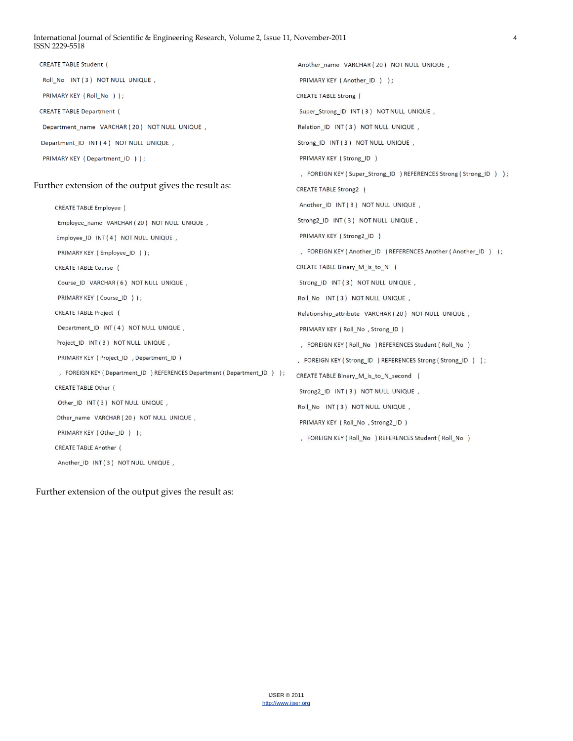#### International Journal of Scientific & Engineering Research, Volume 2, Issue 11, November-2011 4 ISSN 2229-5518

**CREATE TABLE Student (** Another name VARCHAR (20) NOT NULL UNIQUE, Roll No INT (3) NOT NULL UNIQUE, PRIMARY KEY (Another\_ID) ) ; PRIMARY KEY (Roll\_No)); **CREATE TABLE Strong** ( **CREATE TABLE Department (** Super\_Strong\_ID INT (3) NOT NULL UNIQUE, Department\_name VARCHAR (20) NOT NULL UNIQUE, Relation\_ID INT (3) NOT NULL UNIQUE, Department\_ID INT (4) NOT NULL UNIQUE, Strong\_ID INT (3) NOT NULL UNIQUE, PRIMARY KEY (Department\_ID)); PRIMARY KEY (Strong\_ID) , FOREIGN KEY (Super\_Strong\_ID) REFERENCES Strong (Strong\_ID) ); Further extension of the output gives the result as: CREATE TABLE Strong2 ( Another\_ID INT (3) NOT NULL UNIQUE, **CREATE TABLE Employee** ( Strong2\_ID INT (3) NOT NULL UNIQUE, Employee\_name VARCHAR (20) NOT NULL UNIQUE, PRIMARY KEY (Strong2\_ID) Employee\_ID INT (4) NOT NULL UNIQUE, PRIMARY KEY (Employee\_ID)); , FOREIGN KEY (Another\_ID) REFERENCES Another (Another\_ID) ); CREATE TABLE Course ( CREATE TABLE Binary\_M\_is\_to\_N ( Strong\_ID INT (3) NOT NULL UNIQUE, Course ID VARCHAR (6) NOT NULL UNIQUE, PRIMARY KEY ( Course ID ) ) ; Roll\_No INT (3) NOT NULL UNIQUE, **CREATE TABLE Project** ( Relationship\_attribute VARCHAR (20) NOT NULL UNIQUE, Department\_ID INT (4) NOT NULL UNIQUE, PRIMARY KEY (Roll\_No, Strong\_ID) Project\_ID INT (3) NOT NULL UNIQUE, , FOREIGN KEY (Roll\_No) REFERENCES Student (Roll\_No) PRIMARY KEY ( Project\_ID , Department\_ID ) , FOREIGN KEY (Strong\_ID) REFERENCES Strong (Strong\_ID) ) ; , FOREIGN KEY (Department\_ID) REFERENCES Department (Department\_ID) ); CREATE TABLE Binary\_M\_is\_to\_N\_second ( CREATE TABLE Other ( Strong2\_ID INT (3) NOT NULL UNIQUE, Other\_ID INT (3) NOT NULL UNIQUE, Roll\_No INT (3) NOT NULL UNIQUE, Other\_name VARCHAR (20) NOT NULL UNIQUE, PRIMARY KEY (Roll\_No, Strong2\_ID) PRIMARY KEY (Other\_ID ) ); , FOREIGN KEY (Roll\_No) REFERENCES Student (Roll\_No) CREATE TABLE Another ( Another\_ID INT (3) NOT NULL UNIQUE,

Further extension of the output gives the result as: